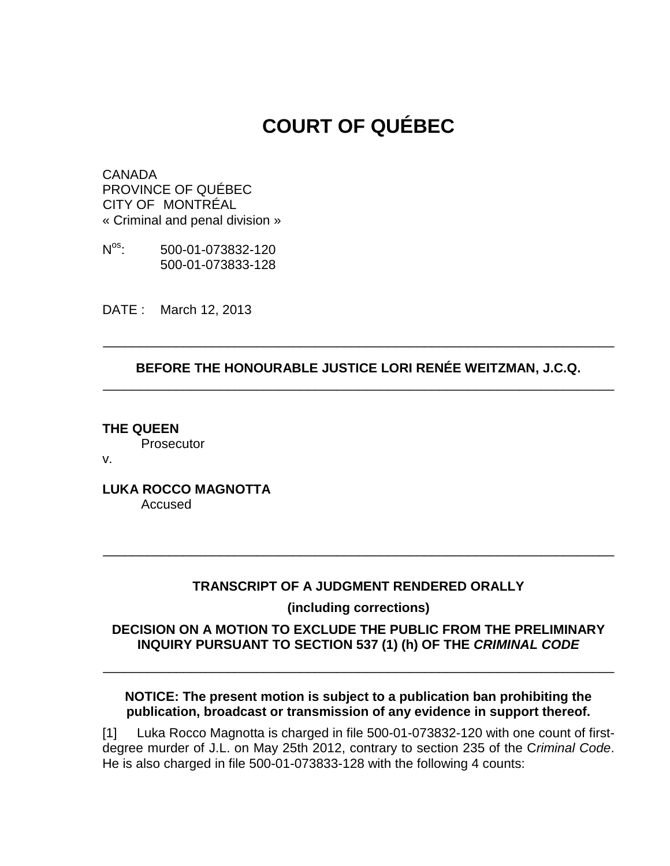# **COURT OF QUÉBEC**

**CANADA** PROVINCE OF QUÉBEC CITY OF MONTRÉAL « Criminal and penal division »

 $N<sup>os</sup>$ . os: 500-01-073832-120 500-01-073833-128

DATE : March 12, 2013

#### **BEFORE THE HONOURABLE JUSTICE LORI RENÉE WEITZMAN, J.C.Q.**  \_\_\_\_\_\_\_\_\_\_\_\_\_\_\_\_\_\_\_\_\_\_\_\_\_\_\_\_\_\_\_\_\_\_\_\_\_\_\_\_\_\_\_\_\_\_\_\_\_\_\_\_\_\_\_\_\_\_\_\_\_\_\_\_\_\_\_\_\_\_

\_\_\_\_\_\_\_\_\_\_\_\_\_\_\_\_\_\_\_\_\_\_\_\_\_\_\_\_\_\_\_\_\_\_\_\_\_\_\_\_\_\_\_\_\_\_\_\_\_\_\_\_\_\_\_\_\_\_\_\_\_\_\_\_\_\_\_\_\_\_

**THE QUEEN Prosecutor** 

v.

**LUKA ROCCO MAGNOTTA**  Accused

## **TRANSCRIPT OF A JUDGMENT RENDERED ORALLY**

\_\_\_\_\_\_\_\_\_\_\_\_\_\_\_\_\_\_\_\_\_\_\_\_\_\_\_\_\_\_\_\_\_\_\_\_\_\_\_\_\_\_\_\_\_\_\_\_\_\_\_\_\_\_\_\_\_\_\_\_\_\_\_\_\_\_\_\_\_\_

**(including corrections)** 

#### **DECISION ON A MOTION TO EXCLUDE THE PUBLIC FROM THE PRELIMINARY INQUIRY PURSUANT TO SECTION 537 (1) (h) OF THE CRIMINAL CODE**

\_\_\_\_\_\_\_\_\_\_\_\_\_\_\_\_\_\_\_\_\_\_\_\_\_\_\_\_\_\_\_\_\_\_\_\_\_\_\_\_\_\_\_\_\_\_\_\_\_\_\_\_\_\_\_\_\_\_\_\_\_\_\_\_\_\_\_\_\_\_

#### **NOTICE: The present motion is subject to a publication ban prohibiting the publication, broadcast or transmission of any evidence in support thereof.**

[1] Luka Rocco Magnotta is charged in file 500-01-073832-120 with one count of firstdegree murder of J.L. on May 25th 2012, contrary to section 235 of the Criminal Code. He is also charged in file 500-01-073833-128 with the following 4 counts: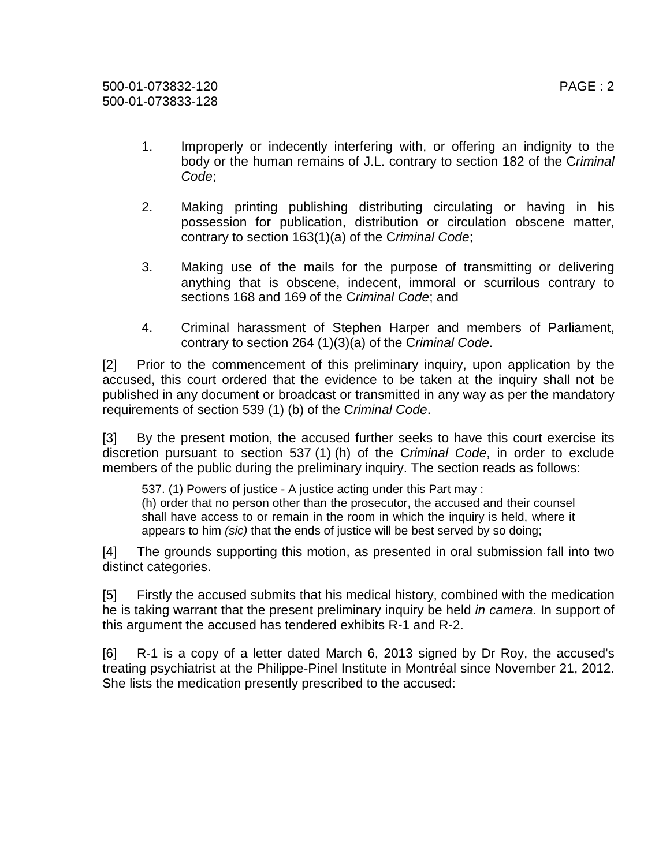- 1. Improperly or indecently interfering with, or offering an indignity to the body or the human remains of J.L. contrary to section 182 of the Criminal Code;
- 2. Making printing publishing distributing circulating or having in his possession for publication, distribution or circulation obscene matter, contrary to section 163(1)(a) of the Criminal Code;
- 3. Making use of the mails for the purpose of transmitting or delivering anything that is obscene, indecent, immoral or scurrilous contrary to sections 168 and 169 of the Criminal Code; and
- 4. Criminal harassment of Stephen Harper and members of Parliament, contrary to section 264 (1)(3)(a) of the Criminal Code.

[2] Prior to the commencement of this preliminary inquiry, upon application by the accused, this court ordered that the evidence to be taken at the inquiry shall not be published in any document or broadcast or transmitted in any way as per the mandatory requirements of section 539 (1) (b) of the Criminal Code.

[3] By the present motion, the accused further seeks to have this court exercise its discretion pursuant to section 537 (1) (h) of the Criminal Code, in order to exclude members of the public during the preliminary inquiry. The section reads as follows:

537. (1) Powers of justice - A justice acting under this Part may : (h) order that no person other than the prosecutor, the accused and their counsel shall have access to or remain in the room in which the inquiry is held, where it appears to him (sic) that the ends of justice will be best served by so doing;

[4] The grounds supporting this motion, as presented in oral submission fall into two distinct categories.

[5] Firstly the accused submits that his medical history, combined with the medication he is taking warrant that the present preliminary inquiry be held in camera. In support of this argument the accused has tendered exhibits R-1 and R-2.

[6] R-1 is a copy of a letter dated March 6, 2013 signed by Dr Roy, the accused's treating psychiatrist at the Philippe-Pinel Institute in Montréal since November 21, 2012. She lists the medication presently prescribed to the accused: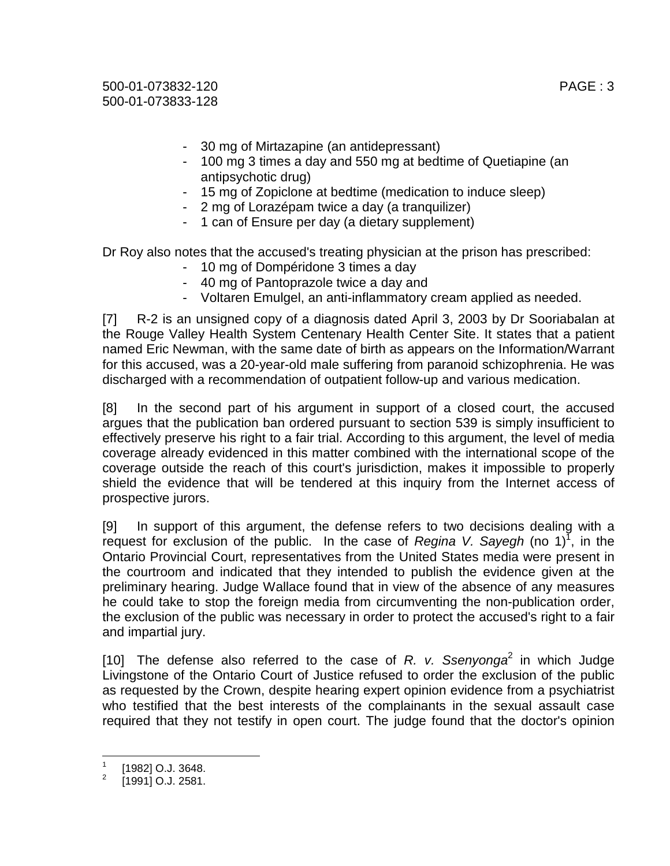500-01-073832-120 PAGE : 3 500-01-073833-128

- 30 mg of Mirtazapine (an antidepressant)
- 100 mg 3 times a day and 550 mg at bedtime of Quetiapine (an antipsychotic drug)
- 15 mg of Zopiclone at bedtime (medication to induce sleep)
- 2 mg of Lorazépam twice a day (a tranquilizer)
- 1 can of Ensure per day (a dietary supplement)

Dr Roy also notes that the accused's treating physician at the prison has prescribed:

- 10 mg of Dompéridone 3 times a day
- 40 mg of Pantoprazole twice a day and
- Voltaren Emulgel, an anti-inflammatory cream applied as needed.

[7] R-2 is an unsigned copy of a diagnosis dated April 3, 2003 by Dr Sooriabalan at the Rouge Valley Health System Centenary Health Center Site. It states that a patient named Eric Newman, with the same date of birth as appears on the Information/Warrant for this accused, was a 20-year-old male suffering from paranoid schizophrenia. He was discharged with a recommendation of outpatient follow-up and various medication.

[8] In the second part of his argument in support of a closed court, the accused argues that the publication ban ordered pursuant to section 539 is simply insufficient to effectively preserve his right to a fair trial. According to this argument, the level of media coverage already evidenced in this matter combined with the international scope of the coverage outside the reach of this court's jurisdiction, makes it impossible to properly shield the evidence that will be tendered at this inquiry from the Internet access of prospective jurors.

[9] In support of this argument, the defense refers to two decisions dealing with a request for exclusion of the public. In the case of Regina V. Sayegh (no 1)<sup>7</sup>, in the Ontario Provincial Court, representatives from the United States media were present in the courtroom and indicated that they intended to publish the evidence given at the preliminary hearing. Judge Wallace found that in view of the absence of any measures he could take to stop the foreign media from circumventing the non-publication order, the exclusion of the public was necessary in order to protect the accused's right to a fair and impartial jury.

[10] The defense also referred to the case of R. v. Ssenyonga<sup>2</sup> in which Judge Livingstone of the Ontario Court of Justice refused to order the exclusion of the public as requested by the Crown, despite hearing expert opinion evidence from a psychiatrist who testified that the best interests of the complainants in the sexual assault case required that they not testify in open court. The judge found that the doctor's opinion

 $\frac{1}{1}$ [1982] O.J. 3648.

<sup>2</sup> [1991] O.J. 2581.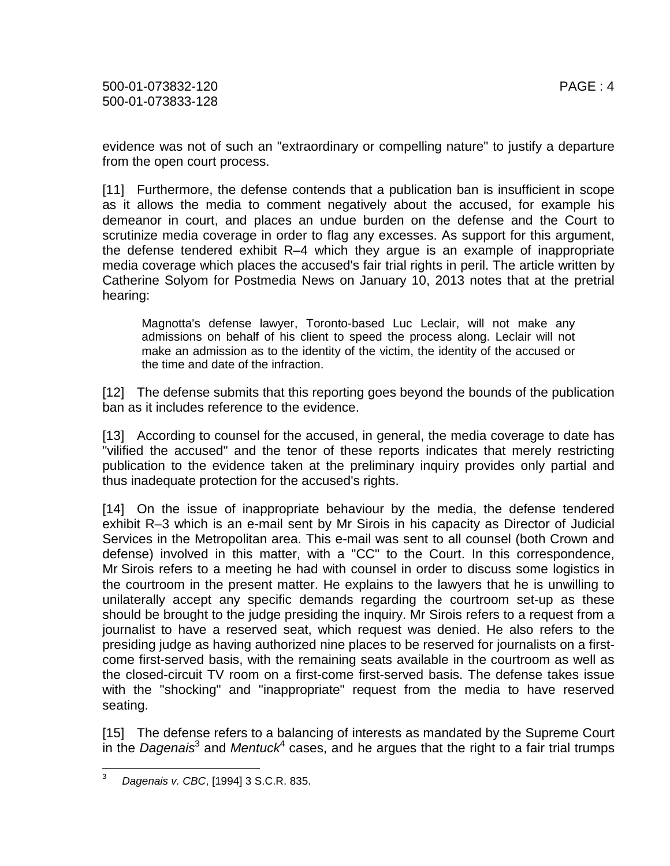evidence was not of such an "extraordinary or compelling nature" to justify a departure from the open court process.

[11] Furthermore, the defense contends that a publication ban is insufficient in scope as it allows the media to comment negatively about the accused, for example his demeanor in court, and places an undue burden on the defense and the Court to scrutinize media coverage in order to flag any excesses. As support for this argument, the defense tendered exhibit R–4 which they argue is an example of inappropriate media coverage which places the accused's fair trial rights in peril. The article written by Catherine Solyom for Postmedia News on January 10, 2013 notes that at the pretrial hearing:

Magnotta's defense lawyer, Toronto-based Luc Leclair, will not make any admissions on behalf of his client to speed the process along. Leclair will not make an admission as to the identity of the victim, the identity of the accused or the time and date of the infraction.

[12] The defense submits that this reporting goes beyond the bounds of the publication ban as it includes reference to the evidence.

[13] According to counsel for the accused, in general, the media coverage to date has "vilified the accused" and the tenor of these reports indicates that merely restricting publication to the evidence taken at the preliminary inquiry provides only partial and thus inadequate protection for the accused's rights.

[14] On the issue of inappropriate behaviour by the media, the defense tendered exhibit R–3 which is an e-mail sent by Mr Sirois in his capacity as Director of Judicial Services in the Metropolitan area. This e-mail was sent to all counsel (both Crown and defense) involved in this matter, with a "CC" to the Court. In this correspondence, Mr Sirois refers to a meeting he had with counsel in order to discuss some logistics in the courtroom in the present matter. He explains to the lawyers that he is unwilling to unilaterally accept any specific demands regarding the courtroom set-up as these should be brought to the judge presiding the inquiry. Mr Sirois refers to a request from a journalist to have a reserved seat, which request was denied. He also refers to the presiding judge as having authorized nine places to be reserved for journalists on a firstcome first-served basis, with the remaining seats available in the courtroom as well as the closed-circuit TV room on a first-come first-served basis. The defense takes issue with the "shocking" and "inappropriate" request from the media to have reserved seating.

[15] The defense refers to a balancing of interests as mandated by the Supreme Court in the Dagenais<sup>3</sup> and Mentuck<sup>4</sup> cases, and he argues that the right to a fair trial trumps

<sup>—&</sup>lt;br>3 Dagenais v. CBC, [1994] 3 S.C.R. 835.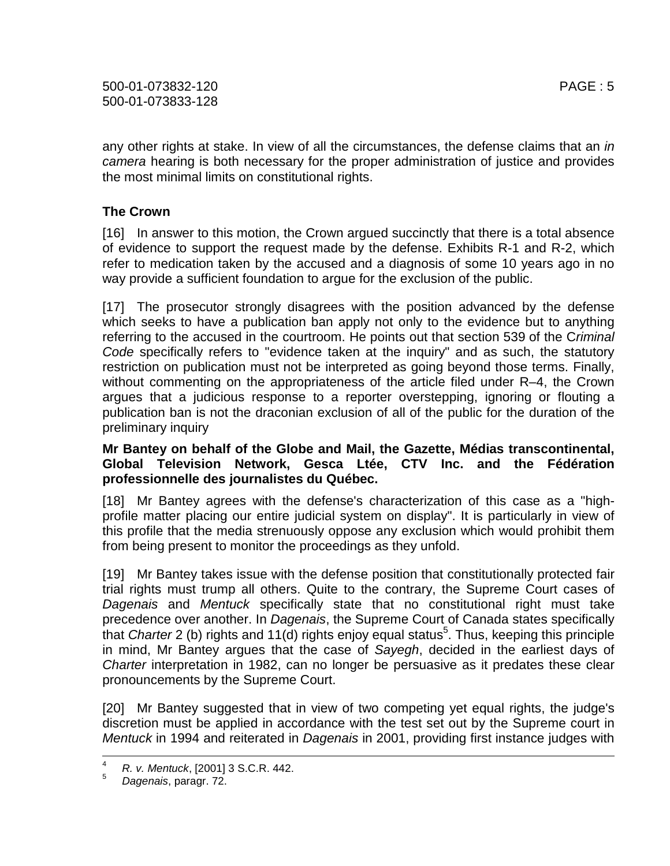any other rights at stake. In view of all the circumstances, the defense claims that an in camera hearing is both necessary for the proper administration of justice and provides the most minimal limits on constitutional rights.

## **The Crown**

[16] In answer to this motion, the Crown argued succinctly that there is a total absence of evidence to support the request made by the defense. Exhibits R-1 and R-2, which refer to medication taken by the accused and a diagnosis of some 10 years ago in no way provide a sufficient foundation to argue for the exclusion of the public.

[17] The prosecutor strongly disagrees with the position advanced by the defense which seeks to have a publication ban apply not only to the evidence but to anything referring to the accused in the courtroom. He points out that section 539 of the Criminal Code specifically refers to "evidence taken at the inquiry" and as such, the statutory restriction on publication must not be interpreted as going beyond those terms. Finally, without commenting on the appropriateness of the article filed under R–4, the Crown argues that a judicious response to a reporter overstepping, ignoring or flouting a publication ban is not the draconian exclusion of all of the public for the duration of the preliminary inquiry

#### **Mr Bantey on behalf of the Globe and Mail, the Gazette, Médias transcontinental, Global Television Network, Gesca Ltée, CTV Inc. and the Fédération professionnelle des journalistes du Québec.**

[18] Mr Bantey agrees with the defense's characterization of this case as a "highprofile matter placing our entire judicial system on display". It is particularly in view of this profile that the media strenuously oppose any exclusion which would prohibit them from being present to monitor the proceedings as they unfold.

[19] Mr Bantey takes issue with the defense position that constitutionally protected fair trial rights must trump all others. Quite to the contrary, the Supreme Court cases of Dagenais and Mentuck specifically state that no constitutional right must take precedence over another. In Dagenais, the Supreme Court of Canada states specifically that Charter 2 (b) rights and 11(d) rights enjoy equal status<sup>5</sup>. Thus, keeping this principle in mind, Mr Bantey argues that the case of Sayegh, decided in the earliest days of Charter interpretation in 1982, can no longer be persuasive as it predates these clear pronouncements by the Supreme Court.

[20] Mr Bantey suggested that in view of two competing yet equal rights, the judge's discretion must be applied in accordance with the test set out by the Supreme court in Mentuck in 1994 and reiterated in Dagenais in 2001, providing first instance judges with

 $\frac{1}{4}$ <sup>4</sup> R. v. Mentuck, [2001] 3 S.C.R. 442.

Dagenais, paragr. 72.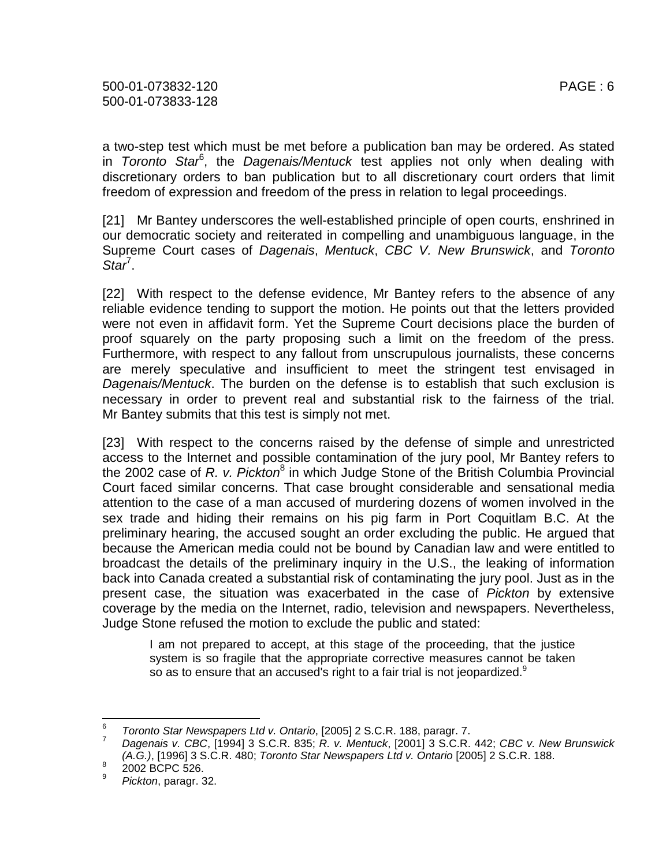a two-step test which must be met before a publication ban may be ordered. As stated in Toronto Star<sup>6</sup>, the Dagenais/Mentuck test applies not only when dealing with discretionary orders to ban publication but to all discretionary court orders that limit freedom of expression and freedom of the press in relation to legal proceedings.

[21] Mr Bantey underscores the well-established principle of open courts, enshrined in our democratic society and reiterated in compelling and unambiguous language, in the Supreme Court cases of Dagenais, Mentuck, CBC V. New Brunswick, and Toronto  $Star^7$ .

[22] With respect to the defense evidence, Mr Bantey refers to the absence of any reliable evidence tending to support the motion. He points out that the letters provided were not even in affidavit form. Yet the Supreme Court decisions place the burden of proof squarely on the party proposing such a limit on the freedom of the press. Furthermore, with respect to any fallout from unscrupulous journalists, these concerns are merely speculative and insufficient to meet the stringent test envisaged in Dagenais/Mentuck. The burden on the defense is to establish that such exclusion is necessary in order to prevent real and substantial risk to the fairness of the trial. Mr Bantey submits that this test is simply not met.

[23] With respect to the concerns raised by the defense of simple and unrestricted access to the Internet and possible contamination of the jury pool, Mr Bantey refers to the 2002 case of R. v. Pickton<sup>8</sup> in which Judge Stone of the British Columbia Provincial Court faced similar concerns. That case brought considerable and sensational media attention to the case of a man accused of murdering dozens of women involved in the sex trade and hiding their remains on his pig farm in Port Coquitlam B.C. At the preliminary hearing, the accused sought an order excluding the public. He argued that because the American media could not be bound by Canadian law and were entitled to broadcast the details of the preliminary inquiry in the U.S., the leaking of information back into Canada created a substantial risk of contaminating the jury pool. Just as in the present case, the situation was exacerbated in the case of Pickton by extensive coverage by the media on the Internet, radio, television and newspapers. Nevertheless, Judge Stone refused the motion to exclude the public and stated:

I am not prepared to accept, at this stage of the proceeding, that the justice system is so fragile that the appropriate corrective measures cannot be taken so as to ensure that an accused's right to a fair trial is not jeopardized. $9$ 

<sup>–&</sup>lt;br>6 Toronto Star Newspapers Ltd v. Ontario, [2005] 2 S.C.R. 188, paragr. 7.

<sup>7</sup> Dagenais v. CBC, [1994] 3 S.C.R. 835; R. v. Mentuck, [2001] 3 S.C.R. 442; CBC v. New Brunswick (A.G.), [1996] 3 S.C.R. 480; Toronto Star Newspapers Ltd v. Ontario [2005] 2 S.C.R. 188. 8

 <sup>2002</sup> BCPC 526.

<sup>9</sup> Pickton, paragr. 32.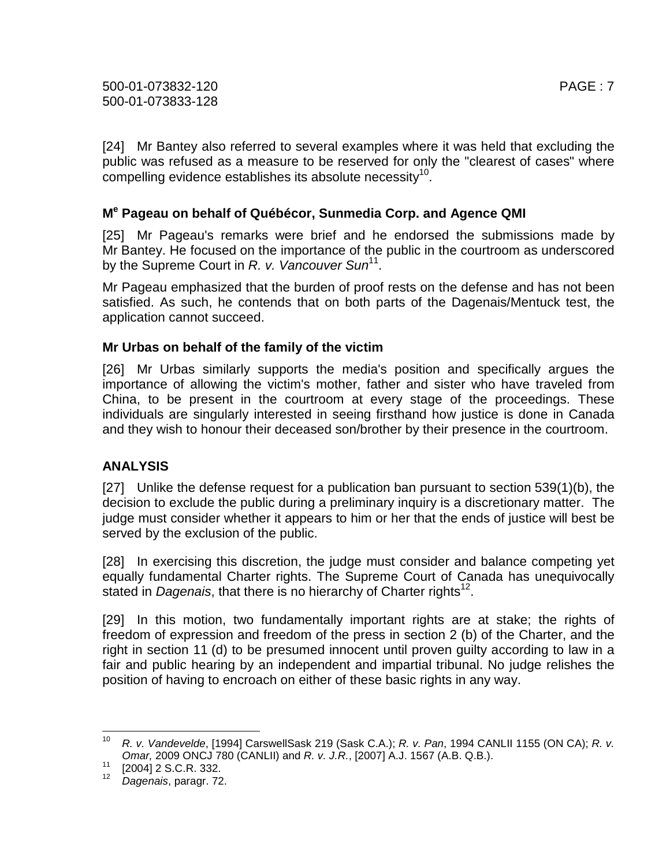[24] Mr Bantey also referred to several examples where it was held that excluding the public was refused as a measure to be reserved for only the "clearest of cases" where compelling evidence establishes its absolute necessity<sup>10</sup>.

## **M e Pageau on behalf of Québécor, Sunmedia Corp. and Agence QMI**

[25] Mr Pageau's remarks were brief and he endorsed the submissions made by Mr Bantey. He focused on the importance of the public in the courtroom as underscored by the Supreme Court in R. v. Vancouver Sun<sup>11</sup>.

Mr Pageau emphasized that the burden of proof rests on the defense and has not been satisfied. As such, he contends that on both parts of the Dagenais/Mentuck test, the application cannot succeed.

## **Mr Urbas on behalf of the family of the victim**

[26] Mr Urbas similarly supports the media's position and specifically argues the importance of allowing the victim's mother, father and sister who have traveled from China, to be present in the courtroom at every stage of the proceedings. These individuals are singularly interested in seeing firsthand how justice is done in Canada and they wish to honour their deceased son/brother by their presence in the courtroom.

# **ANALYSIS**

[27] Unlike the defense request for a publication ban pursuant to section 539(1)(b), the decision to exclude the public during a preliminary inquiry is a discretionary matter. The judge must consider whether it appears to him or her that the ends of justice will best be served by the exclusion of the public.

[28] In exercising this discretion, the judge must consider and balance competing yet equally fundamental Charter rights. The Supreme Court of Canada has unequivocally stated in Dagenais, that there is no hierarchy of Charter rights<sup>12</sup>.

[29] In this motion, two fundamentally important rights are at stake; the rights of freedom of expression and freedom of the press in section 2 (b) of the Charter, and the right in section 11 (d) to be presumed innocent until proven guilty according to law in a fair and public hearing by an independent and impartial tribunal. No judge relishes the position of having to encroach on either of these basic rights in any way.

 $\frac{1}{10}$  R. v. Vandevelde, [1994] CarswellSask 219 (Sask C.A.); R. v. Pan, 1994 CANLII 1155 (ON CA); R. v. Omar, 2009 ONCJ 780 (CANLII) and R. v. J.R., [2007] A.J. 1567 (A.B. Q.B.).

 $11$  [2004] 2 S.C.R. 332.

<sup>12</sup> Dagenais, paragr. 72.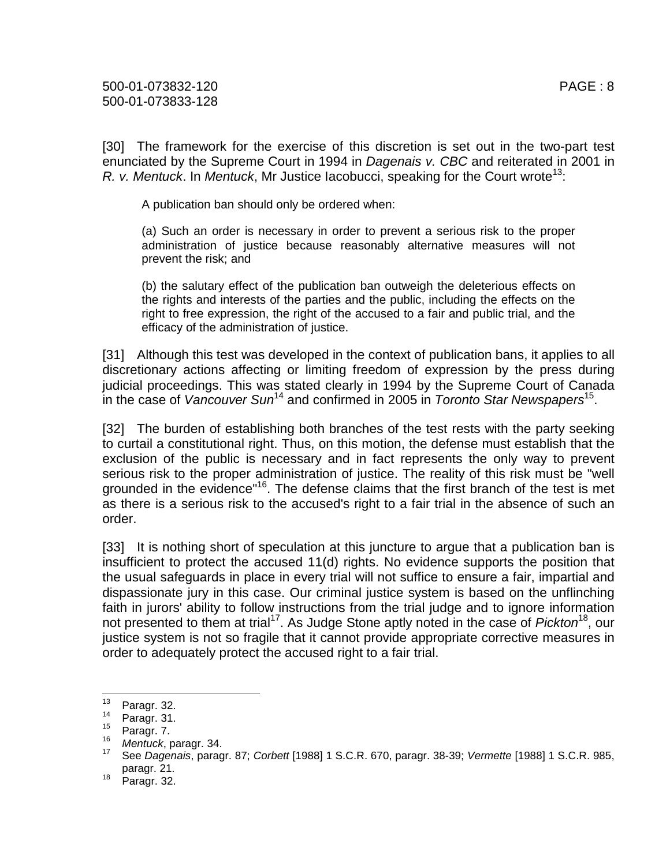[30] The framework for the exercise of this discretion is set out in the two-part test enunciated by the Supreme Court in 1994 in Dagenais v. CBC and reiterated in 2001 in R. v. Mentuck. In Mentuck, Mr Justice Iacobucci, speaking for the Court wrote<sup>13</sup>:

A publication ban should only be ordered when:

(a) Such an order is necessary in order to prevent a serious risk to the proper administration of justice because reasonably alternative measures will not prevent the risk; and

(b) the salutary effect of the publication ban outweigh the deleterious effects on the rights and interests of the parties and the public, including the effects on the right to free expression, the right of the accused to a fair and public trial, and the efficacy of the administration of justice.

[31] Although this test was developed in the context of publication bans, it applies to all discretionary actions affecting or limiting freedom of expression by the press during judicial proceedings. This was stated clearly in 1994 by the Supreme Court of Canada in the case of Vancouver Sun<sup>14</sup> and confirmed in 2005 in Toronto Star Newspapers<sup>15</sup>.

[32] The burden of establishing both branches of the test rests with the party seeking to curtail a constitutional right. Thus, on this motion, the defense must establish that the exclusion of the public is necessary and in fact represents the only way to prevent serious risk to the proper administration of justice. The reality of this risk must be "well grounded in the evidence"<sup>16</sup>. The defense claims that the first branch of the test is met as there is a serious risk to the accused's right to a fair trial in the absence of such an order.

[33] It is nothing short of speculation at this juncture to argue that a publication ban is insufficient to protect the accused 11(d) rights. No evidence supports the position that the usual safeguards in place in every trial will not suffice to ensure a fair, impartial and dispassionate jury in this case. Our criminal justice system is based on the unflinching faith in jurors' ability to follow instructions from the trial judge and to ignore information not presented to them at trial<sup>17</sup>. As Judge Stone aptly noted in the case of *Pickton*<sup>18</sup>, our justice system is not so fragile that it cannot provide appropriate corrective measures in order to adequately protect the accused right to a fair trial.

<sup>13</sup>  $\frac{13}{14}$  Paragr. 32.

 $^{14}$  Paragr. 31.

Paragr. 7.

<sup>16</sup>  $^{16}$  Mentuck, paragr. 34.

<sup>17</sup> See Dagenais, paragr. 87; Corbett [1988] 1 S.C.R. 670, paragr. 38-39; Vermette [1988] 1 S.C.R. 985, paragr. 21.

 $18$  Paragr. 32.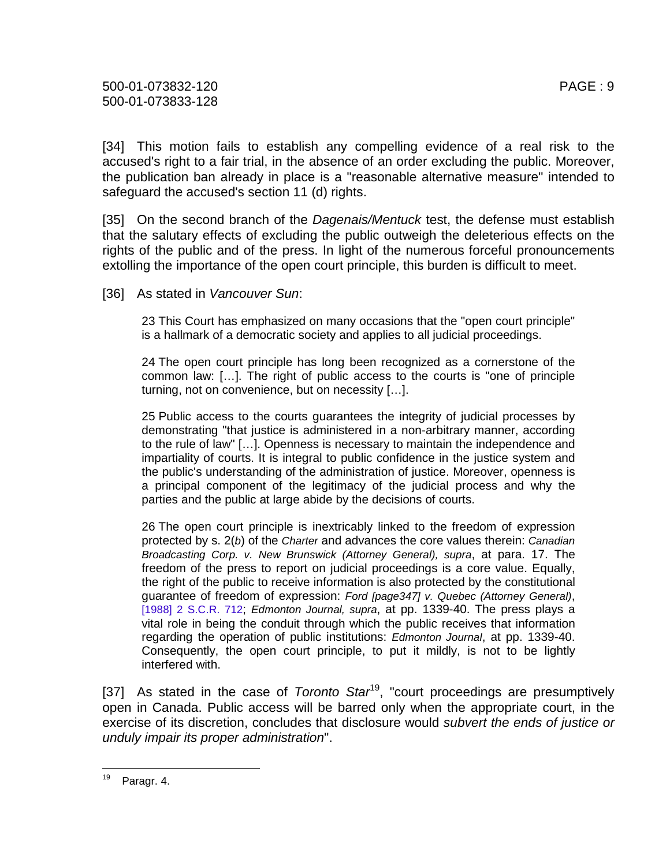[34] This motion fails to establish any compelling evidence of a real risk to the accused's right to a fair trial, in the absence of an order excluding the public. Moreover, the publication ban already in place is a "reasonable alternative measure" intended to safeguard the accused's section 11 (d) rights.

[35] On the second branch of the *Dagenais/Mentuck* test, the defense must establish that the salutary effects of excluding the public outweigh the deleterious effects on the rights of the public and of the press. In light of the numerous forceful pronouncements extolling the importance of the open court principle, this burden is difficult to meet.

[36] As stated in Vancouver Sun:

23 This Court has emphasized on many occasions that the "open court principle" is a hallmark of a democratic society and applies to all judicial proceedings.

24 The open court principle has long been recognized as a cornerstone of the common law: […]. The right of public access to the courts is "one of principle turning, not on convenience, but on necessity […].

25 Public access to the courts guarantees the integrity of judicial processes by demonstrating "that justice is administered in a non-arbitrary manner, according to the rule of law" […]. Openness is necessary to maintain the independence and impartiality of courts. It is integral to public confidence in the justice system and the public's understanding of the administration of justice. Moreover, openness is a principal component of the legitimacy of the judicial process and why the parties and the public at large abide by the decisions of courts.

26 The open court principle is inextricably linked to the freedom of expression protected by s. 2(b) of the Charter and advances the core values therein: Canadian Broadcasting Corp. v. New Brunswick (Attorney General), supra, at para. 17. The freedom of the press to report on judicial proceedings is a core value. Equally, the right of the public to receive information is also protected by the constitutional guarantee of freedom of expression: Ford [page347] v. Quebec (Attorney General), [1988] 2 S.C.R. 712; *Edmonton Journal, supra*, at pp. 1339-40. The press plays a vital role in being the conduit through which the public receives that information regarding the operation of public institutions: Edmonton Journal, at pp. 1339-40. Consequently, the open court principle, to put it mildly, is not to be lightly interfered with.

[37] As stated in the case of Toronto Star<sup>19</sup>, "court proceedings are presumptively open in Canada. Public access will be barred only when the appropriate court, in the exercise of its discretion, concludes that disclosure would subvert the ends of justice or unduly impair its proper administration".

<sup>19</sup> Paragr. 4.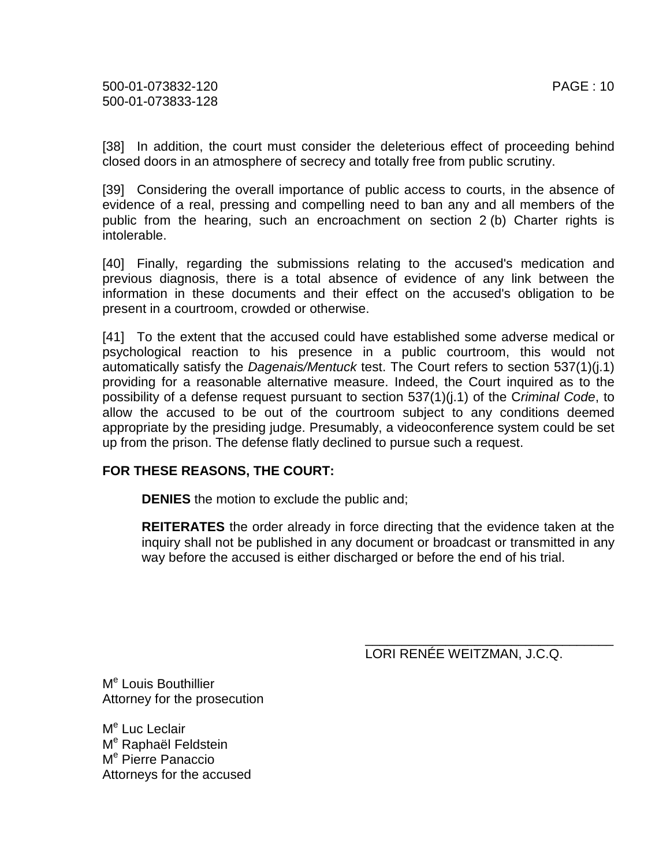[38] In addition, the court must consider the deleterious effect of proceeding behind closed doors in an atmosphere of secrecy and totally free from public scrutiny.

[39] Considering the overall importance of public access to courts, in the absence of evidence of a real, pressing and compelling need to ban any and all members of the public from the hearing, such an encroachment on section 2 (b) Charter rights is intolerable.

[40] Finally, regarding the submissions relating to the accused's medication and previous diagnosis, there is a total absence of evidence of any link between the information in these documents and their effect on the accused's obligation to be present in a courtroom, crowded or otherwise.

[41] To the extent that the accused could have established some adverse medical or psychological reaction to his presence in a public courtroom, this would not automatically satisfy the Dagenais/Mentuck test. The Court refers to section 537(1)(j.1) providing for a reasonable alternative measure. Indeed, the Court inquired as to the possibility of a defense request pursuant to section 537(1)(j.1) of the Criminal Code, to allow the accused to be out of the courtroom subject to any conditions deemed appropriate by the presiding judge. Presumably, a videoconference system could be set up from the prison. The defense flatly declined to pursue such a request.

#### **FOR THESE REASONS, THE COURT:**

**DENIES** the motion to exclude the public and;

**REITERATES** the order already in force directing that the evidence taken at the inquiry shall not be published in any document or broadcast or transmitted in any way before the accused is either discharged or before the end of his trial.

LORI RENÉE WEITZMAN, J.C.Q.

\_\_\_\_\_\_\_\_\_\_\_\_\_\_\_\_\_\_\_\_\_\_\_\_\_\_\_\_\_\_\_\_\_\_

M<sup>e</sup> Louis Bouthillier Attorney for the prosecution

M<sup>e</sup> Luc Leclair M<sup>e</sup> Raphaël Feldstein M<sup>e</sup> Pierre Panaccio Attorneys for the accused